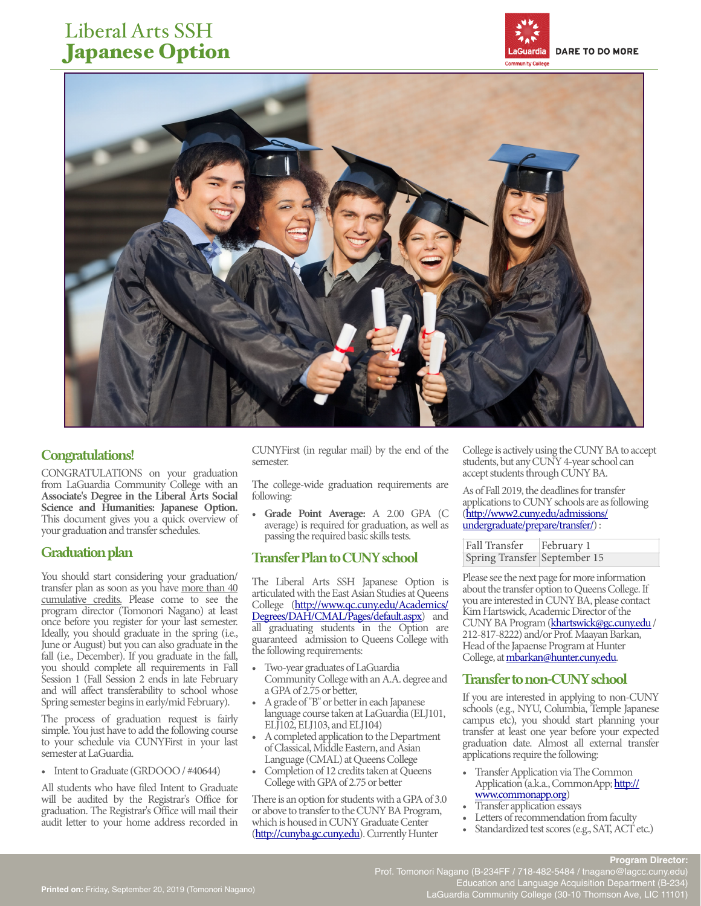# Liberal Arts SSH Japanese Option





### Congratulations!

CONGRATULATIONS on your graduation from LaGuardia Community College with an **Associate's Degree in the Liberal Arts Social Science and Humanities: Japanese Option.** This document gives you a quick overview of your graduation and transfer schedules.

You should start considering your graduation/ transfer plan as soon as you have more than 40 cumulative credits. Please come to see the program director (Tomonori Nagano) at least once before you register for your last semester. Ideally, you should graduate in the spring (i.e., June or August) but you can also graduate in the fall (i.e., December). If you graduate in the fall, you should complete all requirements in Fall Session 1 (Fall Session 2 ends in late February and will affect transferability to school whose Spring semester begins in early/mid February).

The process of graduation request is fairly simple. You just have to add the following course to your schedule via CUNYFirst in your last semester at LaGuardia.

• Intent to Graduate (GRDOOO / #40644)

All students who have filed Intent to Graduate will be audited by the Registrar's Office for graduation. The Registrar's Office will mail their audit letter to your home address recorded in

CUNYFirst (in regular mail) by the end of the semester.

The college-wide graduation requirements are following:

• **Grade Point Average:** A 2.00 GPA (C average) is required for graduation, as well as passing the required basic skills tests.

# Graduation plan Transfer Plan to CUNY school

The Liberal Arts SSH Japanese Option is articulated with the East Asian Studies at Queens College ([http://www.qc.cuny.edu/Academics/](http://www.qc.cuny.edu/Academics/Degrees/DAH/CMAL/Pages/default.aspx) Degrees/DAH/CMAL/Pages/default.aspx) and all graduating students in the Option are guaranteed admission to Queens College with the following requirements:

- Two-year graduates of LaGuardia Community College with an A.A. degree and a GPA of 2.75 or better,
- A grade of "B" or better in each Japanese language course taken at LaGuardia (ELJ101, ELJ102, ELJ103, and ELJ104)
- A completed application to the Department of Classical, Middle Eastern, and Asian Language (CMAL) at Queens College
- Completion of 12 credits taken at Queens College with GPA of 2.75 or better

There is an option for students with a GPA of 3.0 or above to transfer to the CUNY BA Program, which is housed in CUNY Graduate Center [\(http://cunyba.gc.cuny.edu\)](http://cunyba.gc.cuny.edu). Currently Hunter

College is actively using the CUNY BA to accept students, but any CUNY 4-year school can accept students through CUNY BA.

As of Fall 2019, the deadlines for transfer applications to CUNY schools are as following ([http://www2.cuny.edu/admissions/](http://www2.cuny.edu/admissions/undergraduate/prepare/transfer/) [undergraduate/prepare/transfer/\) :](http://www2.cuny.edu/admissions/undergraduate/prepare/transfer/) 

| Fall Transfer   February 1   |  |
|------------------------------|--|
| Spring Transfer September 15 |  |

Please see the next page for more information about the transfer option to Queens College. If you are interested in CUNY BA, please contact Kim Hartswick, Academic Director of the CUNY BA Program ([khartswick@gc.cuny.edu](mailto:khartswick@gc.cuny.edu?subject=) / 212-817-8222) and/or Prof. Maayan Barkan, Head of the Japaense Program at Hunter College, at [mbarkan@hunter.cuny.edu.](mailto:mbarkan@hunter.cuny.edu)

## Transfer to non-CUNY school

If you are interested in applying to non-CUNY schools (e.g., NYU, Columbia, Temple Japanese campus etc), you should start planning your transfer at least one year before your expected graduation date. Almost all external transfer applications require the following:

• Transfer Application via The Common Application (a.k.a., CommonApp; [http://](http://www.commonapp.org)<br>www.commonapp.org)

- Transfer application essays<br>• Letters of recommendation from faculty
- Standardized test scores (e.g., SAT, ACT etc.)